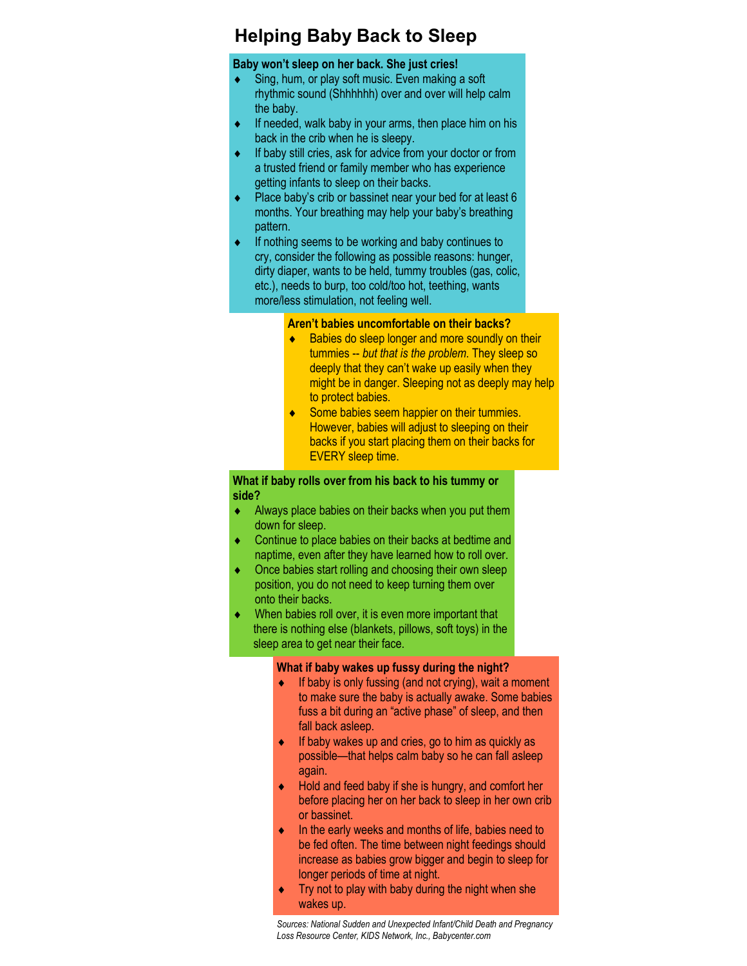# **Helping Baby Back to Sleep**

### **Baby won't sleep on her back. She just cries!**

- Sing, hum, or play soft music. Even making a soft rhythmic sound (Shhhhhh) over and over will help calm the baby.
- $\bullet$  If needed, walk baby in your arms, then place him on his back in the crib when he is sleepy.
- $\bullet$  If baby still cries, ask for advice from your doctor or from a trusted friend or family member who has experience getting infants to sleep on their backs.
- $\bullet$  Place baby's crib or bassinet near your bed for at least 6 months. Your breathing may help your baby's breathing pattern.
- If nothing seems to be working and baby continues to cry, consider the following as possible reasons: hunger, dirty diaper, wants to be held, tummy troubles (gas, colic, etc.), needs to burp, too cold/too hot, teething, wants more/less stimulation, not feeling well.

#### **Aren't babies uncomfortable on their backs?**

- Babies do sleep longer and more soundly on their tummies -- *but that is the problem*. They sleep so deeply that they can't wake up easily when they might be in danger. Sleeping not as deeply may help to protect babies.
- Some babies seem happier on their tummies. However, babies will adjust to sleeping on their backs if you start placing them on their backs for EVERY sleep time.

## **What if baby rolls over from his back to his tummy or side?**

- Always place babies on their backs when you put them down for sleep.
- Continue to place babies on their backs at bedtime and naptime, even after they have learned how to roll over.
- Once babies start rolling and choosing their own sleep position, you do not need to keep turning them over onto their backs.
- When babies roll over, it is even more important that there is nothing else (blankets, pillows, soft toys) in the sleep area to get near their face.

#### **What if baby wakes up fussy during the night?**

- $\bullet$  If baby is only fussing (and not crying), wait a moment to make sure the baby is actually awake. Some babies fuss a bit during an "active phase" of sleep, and then fall back asleep.
- $\bullet$  If baby wakes up and cries, go to him as quickly as possible—that helps calm baby so he can fall asleep again.
- $\bullet$  Hold and feed baby if she is hungry, and comfort her before placing her on her back to sleep in her own crib or bassinet.
- $\bullet$  In the early weeks and months of life, babies need to be fed often. The time between night feedings should increase as babies grow bigger and begin to sleep for longer periods of time at night.
- $\bullet$  Try not to play with baby during the night when she wakes up.

*Sources: National Sudden and Unexpected Infant/Child Death and Pregnancy Loss Resource Center, KIDS Network, Inc., Babycenter.com*